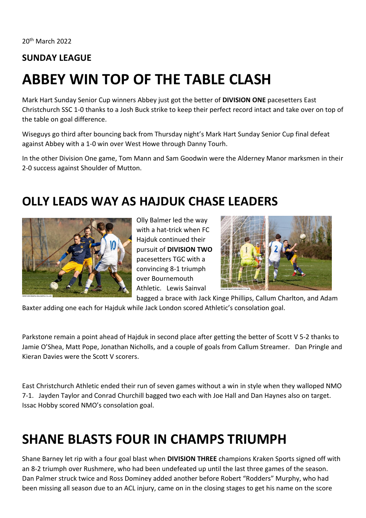20th March 2022

#### **SUNDAY LEAGUE**

# **ABBEY WIN TOP OF THE TABLE CLASH**

Mark Hart Sunday Senior Cup winners Abbey just got the better of **DIVISION ONE** pacesetters East Christchurch SSC 1-0 thanks to a Josh Buck strike to keep their perfect record intact and take over on top of the table on goal difference.

Wiseguys go third after bouncing back from Thursday night's Mark Hart Sunday Senior Cup final defeat against Abbey with a 1-0 win over West Howe through Danny Tourh.

In the other Division One game, Tom Mann and Sam Goodwin were the Alderney Manor marksmen in their 2-0 success against Shoulder of Mutton.

#### **OLLY LEADS WAY AS HAJDUK CHASE LEADERS**



Olly Balmer led the way with a hat-trick when FC Hajduk continued their pursuit of **DIVISION TWO** pacesetters TGC with a convincing 8-1 triumph over Bournemouth Athletic. Lewis Sainval



bagged a brace with Jack Kinge Phillips, Callum Charlton, and Adam Baxter adding one each for Hajduk while Jack London scored Athletic's consolation goal.

Parkstone remain a point ahead of Hajduk in second place after getting the better of Scott V 5-2 thanks to

Jamie O'Shea, Matt Pope, Jonathan Nicholls, and a couple of goals from Callum Streamer. Dan Pringle and Kieran Davies were the Scott V scorers.

East Christchurch Athletic ended their run of seven games without a win in style when they walloped NMO 7-1. Jayden Taylor and Conrad Churchill bagged two each with Joe Hall and Dan Haynes also on target. Issac Hobby scored NMO's consolation goal.

## **SHANE BLASTS FOUR IN CHAMPS TRIUMPH**

Shane Barney let rip with a four goal blast when **DIVISION THREE** champions Kraken Sports signed off with an 8-2 triumph over Rushmere, who had been undefeated up until the last three games of the season. Dan Palmer struck twice and Ross Dominey added another before Robert "Rodders" Murphy, who had been missing all season due to an ACL injury, came on in the closing stages to get his name on the score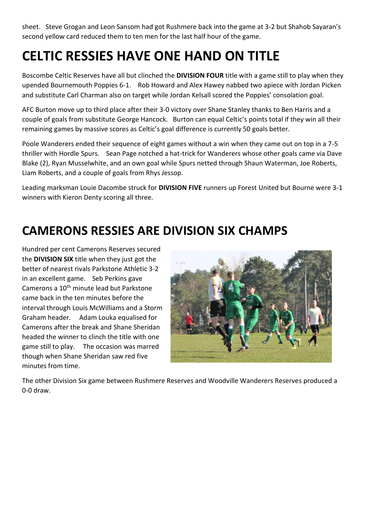sheet. Steve Grogan and Leon Sansom had got Rushmere back into the game at 3-2 but Shahob Sayaran's second yellow card reduced them to ten men for the last half hour of the game.

## **CELTIC RESSIES HAVE ONE HAND ON TITLE**

Boscombe Celtic Reserves have all but clinched the **DIVISION FOUR** title with a game still to play when they upended Bournemouth Poppies 6-1. Rob Howard and Alex Hawey nabbed two apiece with Jordan Picken and substitute Carl Charman also on target while Jordan Kelsall scored the Poppies' consolation goal.

AFC Burton move up to third place after their 3-0 victory over Shane Stanley thanks to Ben Harris and a couple of goals from substitute George Hancock. Burton can equal Celtic's points total if they win all their remaining games by massive scores as Celtic's goal difference is currently 50 goals better.

Poole Wanderers ended their sequence of eight games without a win when they came out on top in a 7-5 thriller with Hordle Spurs. Sean Page notched a hat-trick for Wanderers whose other goals came via Dave Blake (2), Ryan Musselwhite, and an own goal while Spurs netted through Shaun Waterman, Joe Roberts, Liam Roberts, and a couple of goals from Rhys Jessop.

Leading marksman Louie Dacombe struck for **DIVISION FIVE** runners up Forest United but Bourne were 3-1 winners with Kieron Denty scoring all three.

### **CAMERONS RESSIES ARE DIVISION SIX CHAMPS**

Hundred per cent Camerons Reserves secured the **DIVISION SIX** title when they just got the better of nearest rivals Parkstone Athletic 3-2 in an excellent game. Seb Perkins gave Camerons a 10th minute lead but Parkstone came back in the ten minutes before the interval through Louis McWilliams and a Storm Graham header. Adam Louka equalised for Camerons after the break and Shane Sheridan headed the winner to clinch the title with one game still to play. The occasion was marred though when Shane Sheridan saw red five minutes from time.



The other Division Six game between Rushmere Reserves and Woodville Wanderers Reserves produced a 0-0 draw.